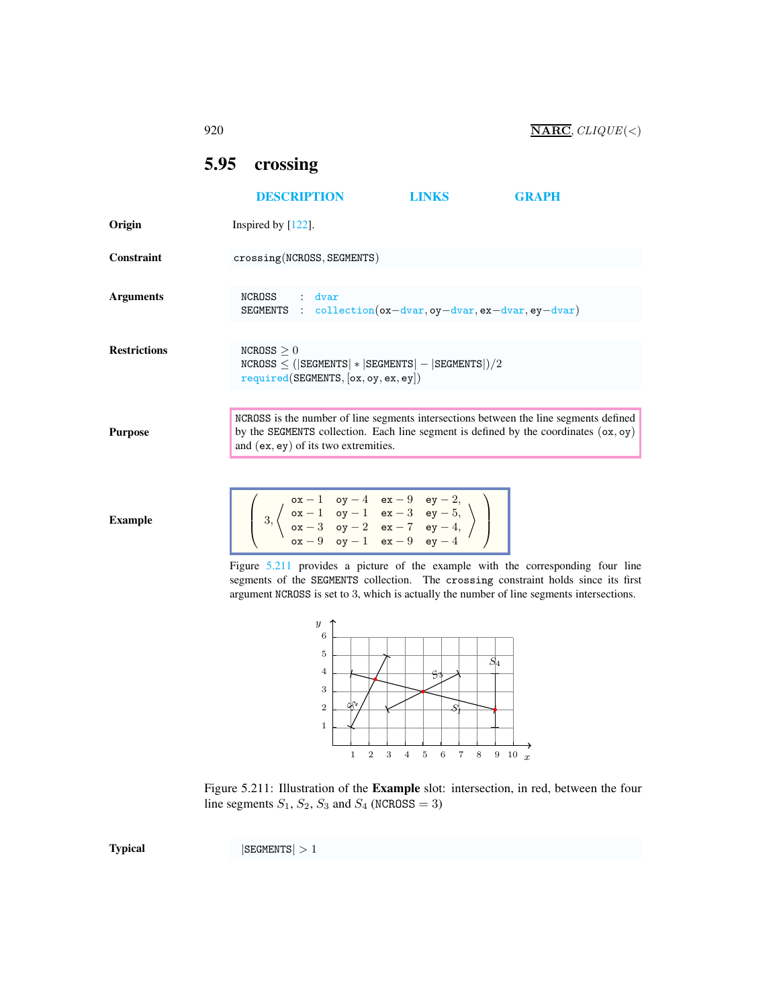## <span id="page-0-0"></span>5.95 crossing

 $\overline{\phantom{a}}$ 3,

|                     | <b>DESCRIPTION</b>                                                                                           | <b>LINKS</b> | <b>GRAPH</b>                                                                                                                                                                    |
|---------------------|--------------------------------------------------------------------------------------------------------------|--------------|---------------------------------------------------------------------------------------------------------------------------------------------------------------------------------|
| Origin              | Inspired by $[122]$ .                                                                                        |              |                                                                                                                                                                                 |
| Constraint          | crossing(NCROSS, SEGMENTS)                                                                                   |              |                                                                                                                                                                                 |
| <b>Arguments</b>    | NCROSS<br>dvar<br>$\mathcal{L}$<br><b>SEGMENTS</b> : collection $(ox-dvar,oy-dvar, ex-dvar, ey-dvar)$        |              |                                                                                                                                                                                 |
| <b>Restrictions</b> | NCROSS > 0<br>$NCROSS \leq ( SEGMENTS  *  SEGMENTS  -  SEGMENTS )/2$<br>required(SEGMENTS, [ox, oy, ex, ey]) |              |                                                                                                                                                                                 |
| <b>Purpose</b>      | and $(ex, ey)$ of its two extremities.                                                                       |              | NCROSS is the number of line segments intersections between the line segments defined<br>by the SEGMENTS collection. Each line segment is defined by the coordinates $(ox, oy)$ |
| $E$ wananla         | $\left(\begin{array}{c} 0x-1 & 0y-4 & ex-9 & ey-2, \\ 0 & ex-1 & 0y-1 & ex-3 & ey-5, \end{array}\right)$     |              |                                                                                                                                                                                 |

 $\mathsf{ox} - 3$  oy  $-2$  ex  $-7$  ey  $-4$ ,  $\texttt{ox} - 9$  oy  $-1$  ex  $-9$  ey  $-4$ 

Figure [5.211](#page-0-1) provides a picture of the example with the corresponding four line segments of the SEGMENTS collection. The crossing constraint holds since its first argument NCROSS is set to 3, which is actually the number of line segments intersections.

 $\Big\}$ 



<span id="page-0-1"></span>

Example

 $\text{Typical}$  |SEGMENTS| > 1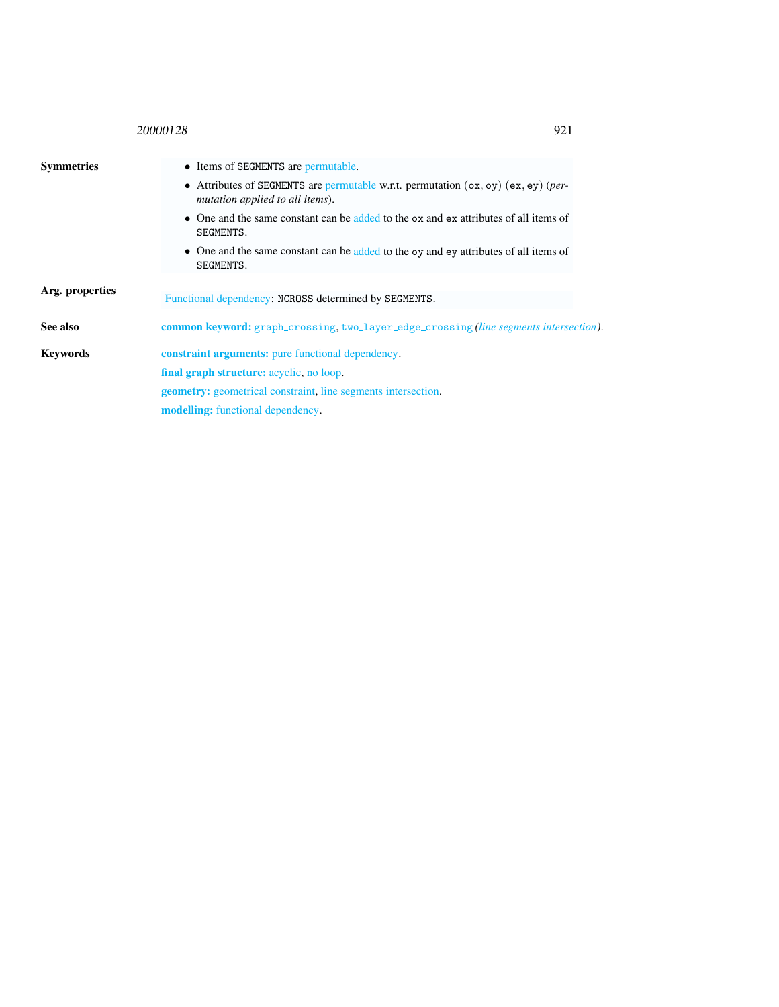## <sup>20000128</sup> 921

<span id="page-1-0"></span>

| • Items of SEGMENTS are permutable.                                                                                     |  |  |  |
|-------------------------------------------------------------------------------------------------------------------------|--|--|--|
| • Attributes of SEGMENTS are permutable w.r.t. permutation $(ox, oy)$ (ex, ey) (per-<br>mutation applied to all items). |  |  |  |
| $\bullet$ One and the same constant can be added to the $\circ x$ and $\circ x$ attributes of all items of<br>SEGMENTS. |  |  |  |
| • One and the same constant can be added to the oy and ey attributes of all items of<br>SEGMENTS.                       |  |  |  |
|                                                                                                                         |  |  |  |
| Functional dependency: NCROSS determined by SEGMENTS.                                                                   |  |  |  |
| <b>common keyword:</b> graph_crossing, two_layer_edge_crossing(line segments intersection).                             |  |  |  |
| <b>constraint arguments:</b> pure functional dependency.                                                                |  |  |  |
| final graph structure: acyclic, no loop.                                                                                |  |  |  |
| <b>geometry:</b> geometrical constraint, line segments intersection.                                                    |  |  |  |
| <b>modelling:</b> functional dependency.                                                                                |  |  |  |
|                                                                                                                         |  |  |  |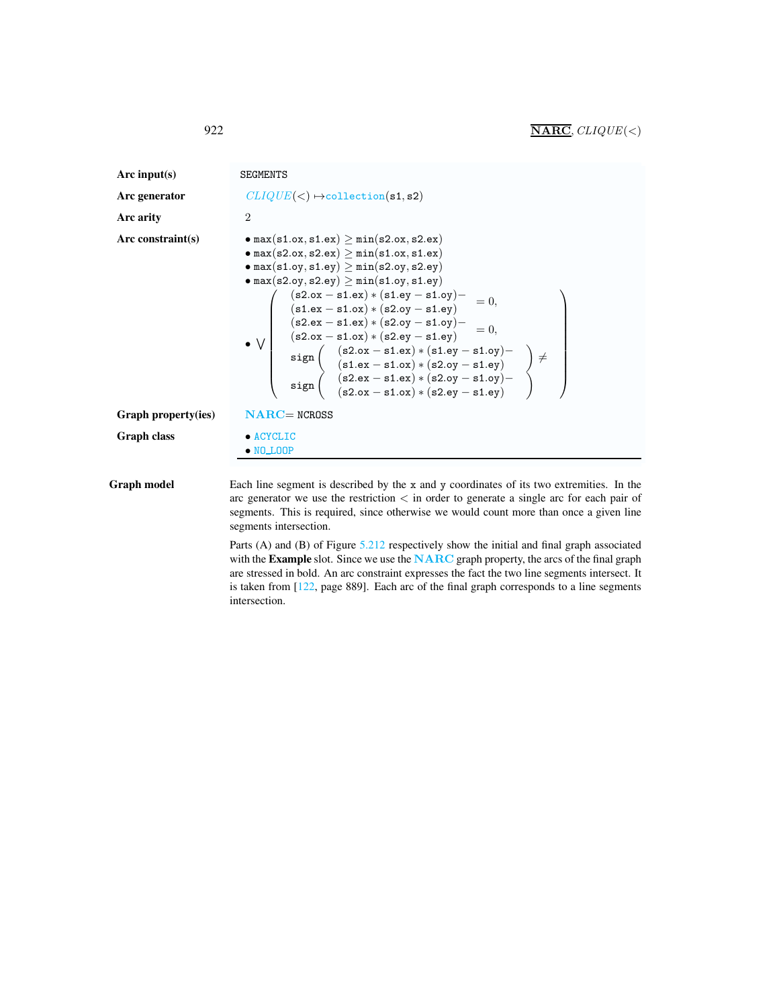<span id="page-2-0"></span>

| Arc input(s)<br>Arc generator<br>Arc arity<br>Arc constraint(s) | <b>SEGMENTS</b><br>$CLIQUE(<) \rightarrow collection(s1, s2)$<br>$\overline{2}$<br>$\bullet$ max(s1.ox, s1.ex) $\geq$ min(s2.ox, s2.ex)<br>$\bullet$ max(s2.ox, s2.ex) $\geq$ min(s1.ox, s1.ex)<br>$\bullet$ max(s1.oy, s1.ey) $\geq$ min(s2.oy, s2.ey)<br>$\bullet$ max(s2.oy, s2.ey) $\geq$ min(s1.oy, s1.ey)<br>• max(22.03, 02.03) $\frac{1}{2}$ min(21.03, 01.03)<br>(s2.0x - s1.ex) * (s2.0y - s1.ey)<br>(s2.ex - s1.ex) * (s2.0y - s1.ey)<br>(s2.ex - s1.ex) * (s2.0y - s1.ey)<br>⇒ V<br>sign (s2.ox - s1.ex) * (s2.ey - s1.ey)<br>sign (s2.ex - s1.ex) |
|-----------------------------------------------------------------|----------------------------------------------------------------------------------------------------------------------------------------------------------------------------------------------------------------------------------------------------------------------------------------------------------------------------------------------------------------------------------------------------------------------------------------------------------------------------------------------------------------------------------------------------------------|
| Graph property(ies)                                             | $NARC = NCROSS$                                                                                                                                                                                                                                                                                                                                                                                                                                                                                                                                                |
| <b>Graph class</b>                                              | $\bullet$ ACYCLIC<br>$\bullet$ NO_LOOP                                                                                                                                                                                                                                                                                                                                                                                                                                                                                                                         |
| <b>Graph model</b>                                              | Each line segment is described by the $x$ and $y$ coordinates of its two extremities. In the<br>arc generator we use the restriction $\lt$ in order to generate a single arc for each pair of                                                                                                                                                                                                                                                                                                                                                                  |

segments intersection. Parts (A) and (B) of Figure [5.212](#page-3-0) respectively show the initial and final graph associated with the Example slot. Since we use the NARC graph property, the arcs of the final graph are stressed in bold. An arc constraint expresses the fact the two line segments intersect. It is taken from [122, page 889]. Each arc of the final graph corresponds to a line segments

segments. This is required, since otherwise we would count more than once a given line

intersection.